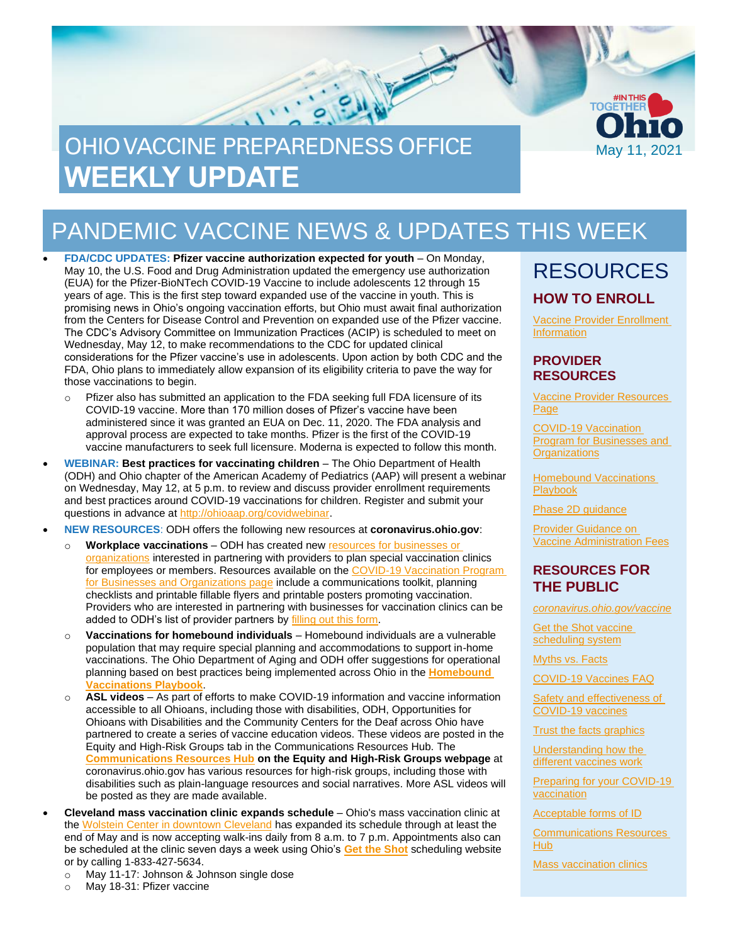

# PANDEMIC VACCINE NEWS & UPDATES THIS WEEK

• **FDA/CDC UPDATES: Pfizer vaccine authorization expected for youth** – On Monday, May 10, the U.S. Food and Drug Administration updated the emergency use authorization (EUA) for the Pfizer-BioNTech COVID-19 Vaccine to include adolescents 12 through 15 years of age. This is the first step toward expanded use of the vaccine in youth. This is promising news in Ohio's ongoing vaccination efforts, but Ohio must await final authorization from the Centers for Disease Control and Prevention on expanded use of the Pfizer vaccine. The CDC's Advisory Committee on Immunization Practices (ACIP) is scheduled to meet on Wednesday, May 12, to make recommendations to the CDC for updated clinical considerations for the Pfizer vaccine's use in adolescents. Upon action by both CDC and the FDA, Ohio plans to immediately allow expansion of its eligibility criteria to pave the way for those vaccinations to begin.

- o Pfizer also has submitted an application to the FDA seeking full FDA licensure of its COVID-19 vaccine. More than 170 million doses of Pfizer's vaccine have been administered since it was granted an EUA on Dec. 11, 2020. The FDA analysis and approval process are expected to take months. Pfizer is the first of the COVID-19 vaccine manufacturers to seek full licensure. Moderna is expected to follow this month.
- **WEBINAR: Best practices for vaccinating children** The Ohio Department of Health (ODH) and Ohio chapter of the American Academy of Pediatrics (AAP) will present a webinar on Wednesday, May 12, at 5 p.m. to review and discuss provider enrollment requirements and best practices around COVID-19 vaccinations for children. Register and submit your questions in advance at [http://ohioaap.org/covidwebinar.](http://ohioaap.org/covidwebinar)

• **NEW RESOURCES**: ODH offers the following new resources at **coronavirus.ohio.gov**:

- o **Workplace vaccinations** ODH has created ne[w resources for businesses or](https://coronavirus.ohio.gov/wps/portal/gov/covid-19/covid-19-vaccination-program/businesses-and-organizations)  [organizations](https://coronavirus.ohio.gov/wps/portal/gov/covid-19/covid-19-vaccination-program/businesses-and-organizations) interested in partnering with providers to plan special vaccination clinics for employees or members. Resources available on the [COVID-19 Vaccination Program](https://coronavirus.ohio.gov/wps/portal/gov/covid-19/covid-19-vaccination-program/businesses-and-organizations)  [for Businesses and Organizations page](https://coronavirus.ohio.gov/wps/portal/gov/covid-19/covid-19-vaccination-program/businesses-and-organizations) include a communications toolkit, planning checklists and printable fillable flyers and printable posters promoting vaccination. Providers who are interested in partnering with businesses for vaccination clinics can be added to ODH's list of provider partners b[y filling out this form.](https://www.surveymonkey.com/r/JGN9BNY)
- o **Vaccinations for homebound individuals** Homebound individuals are a vulnerable population that may require special planning and accommodations to support in-home vaccinations. The Ohio Department of Aging and ODH offer suggestions for operational planning based on best practices being implemented across Ohio in the **[Homebound](https://coronavirus.ohio.gov/static/vaccine/homebound-vaccinations-playbook.pdf)  [Vaccinations Playbook](https://coronavirus.ohio.gov/static/vaccine/homebound-vaccinations-playbook.pdf)**.
- o **ASL videos**  As part of efforts to make COVID-19 information and vaccine information accessible to all Ohioans, including those with disabilities, ODH, Opportunities for Ohioans with Disabilities and the Community Centers for the Deaf across Ohio have partnered to create a series of vaccine education videos. These videos are posted in the Equity and High-Risk Groups tab in the Communications Resources Hub. The **[Communications Resources Hub](https://coronavirus.ohio.gov/wps/portal/gov/covid-19/health-equity/communications-resources-hub) on the Equity and High-Risk Groups webpage** at coronavirus.ohio.gov has various resources for high-risk groups, including those with disabilities such as plain-language resources and social narratives. More ASL videos will be posted as they are made available.
- **Cleveland mass vaccination clinic expands schedule** Ohio's mass vaccination clinic at the [Wolstein Center in downtown Cleveland](https://coronavirus.ohio.gov/wps/portal/gov/covid-19/covid-19-vaccination-program/resources/cleveland-eight-week-clinic) has expanded its schedule through at least the end of May and is now accepting walk-ins daily from 8 a.m. to 7 p.m. Appointments also can be scheduled at the clinic seven days a week using Ohio's **[Get the Shot](https://gettheshot.coronavirus.ohio.gov/)** scheduling website or by calling 1-833-427-5634.
	- o May 11-17: Johnson & Johnson single dose
	- o May 18-31: Pfizer vaccine

### RESOURCES **HOW TO ENROLL**

[Vaccine Provider Enrollment](https://odh.ohio.gov/wps/portal/gov/odh/know-our-programs/immunization/pandemic-vaccine-provider/ohio-covid-19-provider-enrollment)  **[Information](https://odh.ohio.gov/wps/portal/gov/odh/know-our-programs/immunization/pandemic-vaccine-provider/ohio-covid-19-provider-enrollment)** 

#### **PROVIDER RESOURCES**

[Vaccine Provider Resources](https://odh.ohio.gov/wps/portal/gov/odh/know-our-programs/covid-19-vaccine-provider/latest-resources/latest-resources) [Page](https://odh.ohio.gov/wps/portal/gov/odh/know-our-programs/covid-19-vaccine-provider/latest-resources/latest-resources)

[COVID-19 Vaccination](https://coronavirus.ohio.gov/wps/portal/gov/covid-19/covid-19-vaccination-program/businesses-and-organizations)  [Program for Businesses and](https://coronavirus.ohio.gov/wps/portal/gov/covid-19/covid-19-vaccination-program/businesses-and-organizations)  **[Organizations](https://coronavirus.ohio.gov/wps/portal/gov/covid-19/covid-19-vaccination-program/businesses-and-organizations)** 

[Homebound Vaccinations](https://coronavirus.ohio.gov/static/vaccine/homebound-vaccinations-playbook.pdf)  [Playbook](https://coronavirus.ohio.gov/static/vaccine/homebound-vaccinations-playbook.pdf)

[Phase 2D guidance](https://odh.ohio.gov/static/covid19/vaccine-providers/provider-info-phase-2d.pdf)

[Provider Guidance on](https://odh.ohio.gov/static/covid19/vaccine-providers/provider-guidance-vaccine-administration-fees.pdf)  [Vaccine Administration Fees](https://odh.ohio.gov/static/covid19/vaccine-providers/provider-guidance-vaccine-administration-fees.pdf)

#### **RESOURCES FOR THE PUBLIC**

*[coronavirus.ohio.gov/vaccine](https://coronavirus.ohio.gov/vaccine)*

Get the Shot vaccine [scheduling system](https://gettheshot.coronavirus.ohio.gov/)

[Myths vs. Facts](https://coronavirus.ohio.gov/wps/portal/gov/covid-19/covid-19-vaccination-program/19-vaccine-myths-vs-facts/19-vaccine-myths-vs-facts)

[COVID-19 Vaccines FAQ](https://coronavirus.ohio.gov/wps/portal/gov/covid-19/resources/general-resources/frequently-asked-questions+covid-19-vaccine)

[Safety and effectiveness of](https://coronavirus.ohio.gov/static/vaccine/covid-19-vaccine-safety.pdf)  [COVID-19 vaccines](https://coronavirus.ohio.gov/static/vaccine/covid-19-vaccine-safety.pdf)

[Trust the facts graphics](https://coronavirus.ohio.gov/static/vaccine/trust_the_facts_full.jpg)

[Understanding how the](https://coronavirus.ohio.gov/static/vaccine/covid-19-how-vaccines-work.pdf)  [different vaccines work](https://coronavirus.ohio.gov/static/vaccine/covid-19-how-vaccines-work.pdf)

[Preparing for your COVID-19](https://coronavirus.ohio.gov/static/vaccine/covid-19-fact-sheet-vaccine-appointment.pdf)  [vaccination](https://coronavirus.ohio.gov/static/vaccine/covid-19-fact-sheet-vaccine-appointment.pdf)

[Acceptable forms of ID](https://coronavirus.ohio.gov/static/vaccine/covid-19-fact-sheet-forms-of-id.pdf)

[Communications Resources](https://coronavirus.ohio.gov/wps/portal/gov/covid-19/health-equity/communications-resources-hub/communications-resources-hub)  [Hub](https://coronavirus.ohio.gov/wps/portal/gov/covid-19/health-equity/communications-resources-hub/communications-resources-hub)

[Mass vaccination clinics](https://coronavirus.ohio.gov/wps/portal/gov/covid-19/covid-19-vaccination-program/resources/covid-19-mass-vaccination-clinics)